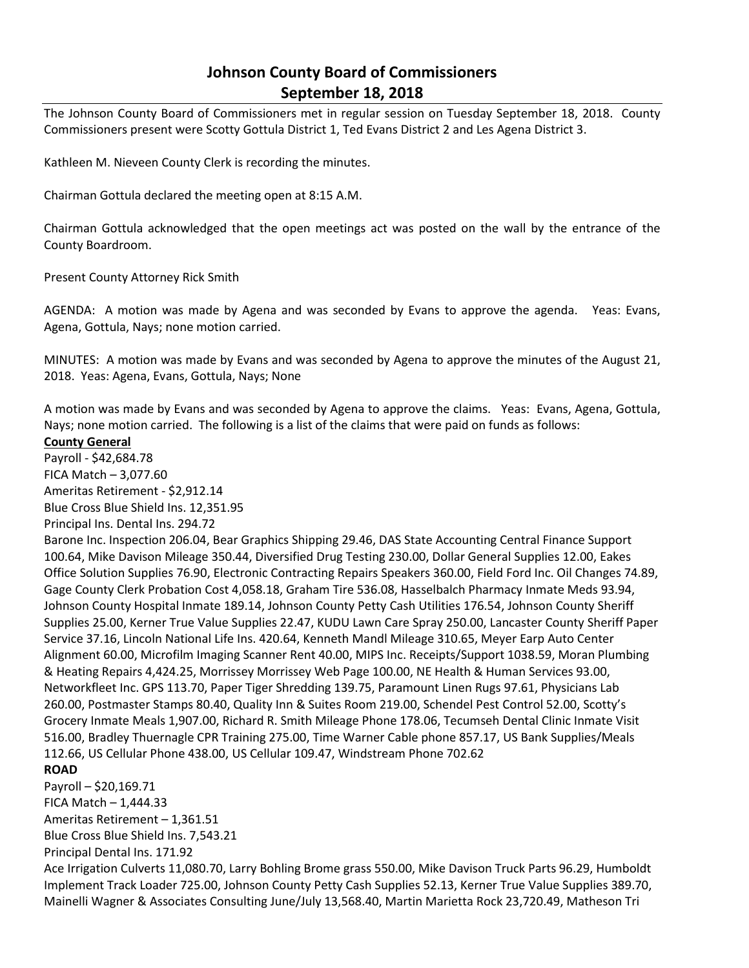# **Johnson County Board of Commissioners September 18, 2018**

The Johnson County Board of Commissioners met in regular session on Tuesday September 18, 2018. County Commissioners present were Scotty Gottula District 1, Ted Evans District 2 and Les Agena District 3.

Kathleen M. Nieveen County Clerk is recording the minutes.

Chairman Gottula declared the meeting open at 8:15 A.M.

Chairman Gottula acknowledged that the open meetings act was posted on the wall by the entrance of the County Boardroom.

Present County Attorney Rick Smith

AGENDA: A motion was made by Agena and was seconded by Evans to approve the agenda. Yeas: Evans, Agena, Gottula, Nays; none motion carried.

MINUTES: A motion was made by Evans and was seconded by Agena to approve the minutes of the August 21, 2018. Yeas: Agena, Evans, Gottula, Nays; None

A motion was made by Evans and was seconded by Agena to approve the claims. Yeas: Evans, Agena, Gottula, Nays; none motion carried. The following is a list of the claims that were paid on funds as follows:

### **County General**

Payroll - \$42,684.78 FICA Match – 3,077.60 Ameritas Retirement - \$2,912.14 Blue Cross Blue Shield Ins. 12,351.95 Principal Ins. Dental Ins. 294.72

Barone Inc. Inspection 206.04, Bear Graphics Shipping 29.46, DAS State Accounting Central Finance Support 100.64, Mike Davison Mileage 350.44, Diversified Drug Testing 230.00, Dollar General Supplies 12.00, Eakes Office Solution Supplies 76.90, Electronic Contracting Repairs Speakers 360.00, Field Ford Inc. Oil Changes 74.89, Gage County Clerk Probation Cost 4,058.18, Graham Tire 536.08, Hasselbalch Pharmacy Inmate Meds 93.94, Johnson County Hospital Inmate 189.14, Johnson County Petty Cash Utilities 176.54, Johnson County Sheriff Supplies 25.00, Kerner True Value Supplies 22.47, KUDU Lawn Care Spray 250.00, Lancaster County Sheriff Paper Service 37.16, Lincoln National Life Ins. 420.64, Kenneth Mandl Mileage 310.65, Meyer Earp Auto Center Alignment 60.00, Microfilm Imaging Scanner Rent 40.00, MIPS Inc. Receipts/Support 1038.59, Moran Plumbing & Heating Repairs 4,424.25, Morrissey Morrissey Web Page 100.00, NE Health & Human Services 93.00, Networkfleet Inc. GPS 113.70, Paper Tiger Shredding 139.75, Paramount Linen Rugs 97.61, Physicians Lab 260.00, Postmaster Stamps 80.40, Quality Inn & Suites Room 219.00, Schendel Pest Control 52.00, Scotty's Grocery Inmate Meals 1,907.00, Richard R. Smith Mileage Phone 178.06, Tecumseh Dental Clinic Inmate Visit 516.00, Bradley Thuernagle CPR Training 275.00, Time Warner Cable phone 857.17, US Bank Supplies/Meals 112.66, US Cellular Phone 438.00, US Cellular 109.47, Windstream Phone 702.62

## **ROAD**

Payroll – \$20,169.71 FICA Match  $-1,444.33$ Ameritas Retirement – 1,361.51 Blue Cross Blue Shield Ins. 7,543.21 Principal Dental Ins. 171.92 Ace Irrigation Culverts 11,080.70, Larry Bohling Brome grass 550.00, Mike Davison Truck Parts 96.29, Humboldt Implement Track Loader 725.00, Johnson County Petty Cash Supplies 52.13, Kerner True Value Supplies 389.70, Mainelli Wagner & Associates Consulting June/July 13,568.40, Martin Marietta Rock 23,720.49, Matheson Tri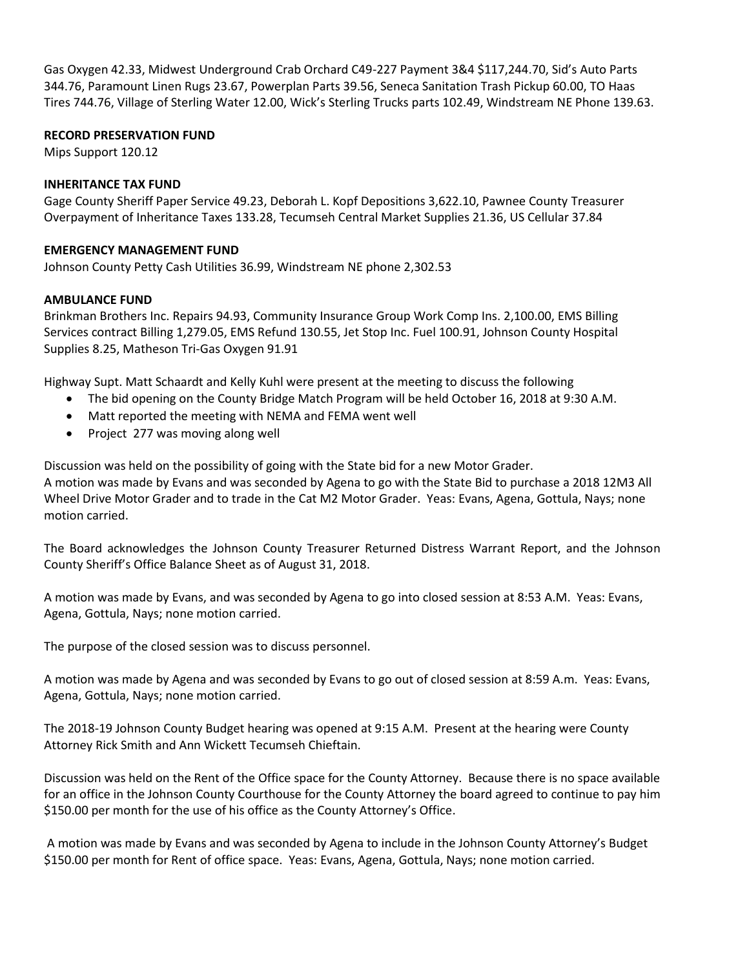Gas Oxygen 42.33, Midwest Underground Crab Orchard C49-227 Payment 3&4 \$117,244.70, Sid's Auto Parts 344.76, Paramount Linen Rugs 23.67, Powerplan Parts 39.56, Seneca Sanitation Trash Pickup 60.00, TO Haas Tires 744.76, Village of Sterling Water 12.00, Wick's Sterling Trucks parts 102.49, Windstream NE Phone 139.63.

## **RECORD PRESERVATION FUND**

Mips Support 120.12

### **INHERITANCE TAX FUND**

Gage County Sheriff Paper Service 49.23, Deborah L. Kopf Depositions 3,622.10, Pawnee County Treasurer Overpayment of Inheritance Taxes 133.28, Tecumseh Central Market Supplies 21.36, US Cellular 37.84

### **EMERGENCY MANAGEMENT FUND**

Johnson County Petty Cash Utilities 36.99, Windstream NE phone 2,302.53

## **AMBULANCE FUND**

Brinkman Brothers Inc. Repairs 94.93, Community Insurance Group Work Comp Ins. 2,100.00, EMS Billing Services contract Billing 1,279.05, EMS Refund 130.55, Jet Stop Inc. Fuel 100.91, Johnson County Hospital Supplies 8.25, Matheson Tri-Gas Oxygen 91.91

Highway Supt. Matt Schaardt and Kelly Kuhl were present at the meeting to discuss the following

- The bid opening on the County Bridge Match Program will be held October 16, 2018 at 9:30 A.M.
- Matt reported the meeting with NEMA and FEMA went well
- Project 277 was moving along well

Discussion was held on the possibility of going with the State bid for a new Motor Grader. A motion was made by Evans and was seconded by Agena to go with the State Bid to purchase a 2018 12M3 All Wheel Drive Motor Grader and to trade in the Cat M2 Motor Grader. Yeas: Evans, Agena, Gottula, Nays; none motion carried.

The Board acknowledges the Johnson County Treasurer Returned Distress Warrant Report, and the Johnson County Sheriff's Office Balance Sheet as of August 31, 2018.

A motion was made by Evans, and was seconded by Agena to go into closed session at 8:53 A.M. Yeas: Evans, Agena, Gottula, Nays; none motion carried.

The purpose of the closed session was to discuss personnel.

A motion was made by Agena and was seconded by Evans to go out of closed session at 8:59 A.m. Yeas: Evans, Agena, Gottula, Nays; none motion carried.

The 2018-19 Johnson County Budget hearing was opened at 9:15 A.M. Present at the hearing were County Attorney Rick Smith and Ann Wickett Tecumseh Chieftain.

Discussion was held on the Rent of the Office space for the County Attorney. Because there is no space available for an office in the Johnson County Courthouse for the County Attorney the board agreed to continue to pay him \$150.00 per month for the use of his office as the County Attorney's Office.

A motion was made by Evans and was seconded by Agena to include in the Johnson County Attorney's Budget \$150.00 per month for Rent of office space. Yeas: Evans, Agena, Gottula, Nays; none motion carried.